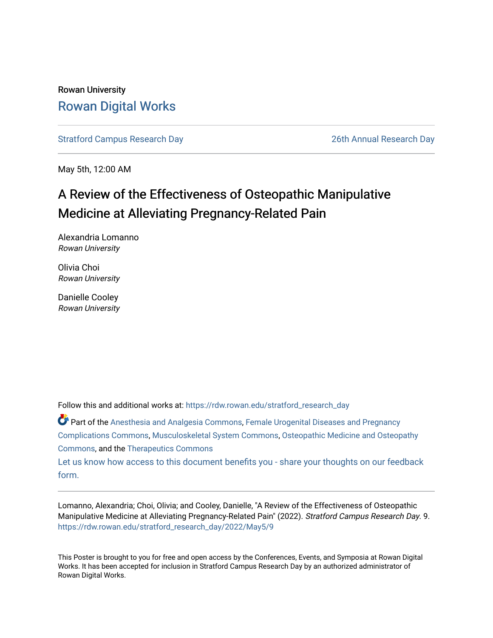### Rowan University [Rowan Digital Works](https://rdw.rowan.edu/)

[Stratford Campus Research Day](https://rdw.rowan.edu/stratford_research_day) [26th Annual Research Day](https://rdw.rowan.edu/stratford_research_day/2022) 

May 5th, 12:00 AM

### A Review of the Effectiveness of Osteopathic Manipulative Medicine at Alleviating Pregnancy-Related Pain

Alexandria Lomanno Rowan University

Olivia Choi Rowan University

Danielle Cooley Rowan University

Follow this and additional works at: [https://rdw.rowan.edu/stratford\\_research\\_day](https://rdw.rowan.edu/stratford_research_day?utm_source=rdw.rowan.edu%2Fstratford_research_day%2F2022%2FMay5%2F9&utm_medium=PDF&utm_campaign=PDFCoverPages)

Part of the [Anesthesia and Analgesia Commons,](https://network.bepress.com/hgg/discipline/956?utm_source=rdw.rowan.edu%2Fstratford_research_day%2F2022%2FMay5%2F9&utm_medium=PDF&utm_campaign=PDFCoverPages) [Female Urogenital Diseases and Pregnancy](https://network.bepress.com/hgg/discipline/984?utm_source=rdw.rowan.edu%2Fstratford_research_day%2F2022%2FMay5%2F9&utm_medium=PDF&utm_campaign=PDFCoverPages) [Complications Commons,](https://network.bepress.com/hgg/discipline/984?utm_source=rdw.rowan.edu%2Fstratford_research_day%2F2022%2FMay5%2F9&utm_medium=PDF&utm_campaign=PDFCoverPages) [Musculoskeletal System Commons,](https://network.bepress.com/hgg/discipline/938?utm_source=rdw.rowan.edu%2Fstratford_research_day%2F2022%2FMay5%2F9&utm_medium=PDF&utm_campaign=PDFCoverPages) [Osteopathic Medicine and Osteopathy](https://network.bepress.com/hgg/discipline/697?utm_source=rdw.rowan.edu%2Fstratford_research_day%2F2022%2FMay5%2F9&utm_medium=PDF&utm_campaign=PDFCoverPages)  [Commons](https://network.bepress.com/hgg/discipline/697?utm_source=rdw.rowan.edu%2Fstratford_research_day%2F2022%2FMay5%2F9&utm_medium=PDF&utm_campaign=PDFCoverPages), and the [Therapeutics Commons](https://network.bepress.com/hgg/discipline/993?utm_source=rdw.rowan.edu%2Fstratford_research_day%2F2022%2FMay5%2F9&utm_medium=PDF&utm_campaign=PDFCoverPages) 

[Let us know how access to this document benefits you - share your thoughts on our feedback](https://www.lib.rowan.edu/rdw-feedback?ref=https://rdw.rowan.edu/stratford_research_day/2022/May5/9) [form.](https://www.lib.rowan.edu/rdw-feedback?ref=https://rdw.rowan.edu/stratford_research_day/2022/May5/9)

Lomanno, Alexandria; Choi, Olivia; and Cooley, Danielle, "A Review of the Effectiveness of Osteopathic Manipulative Medicine at Alleviating Pregnancy-Related Pain" (2022). Stratford Campus Research Day. 9. [https://rdw.rowan.edu/stratford\\_research\\_day/2022/May5/9](https://rdw.rowan.edu/stratford_research_day/2022/May5/9?utm_source=rdw.rowan.edu%2Fstratford_research_day%2F2022%2FMay5%2F9&utm_medium=PDF&utm_campaign=PDFCoverPages)

This Poster is brought to you for free and open access by the Conferences, Events, and Symposia at Rowan Digital Works. It has been accepted for inclusion in Stratford Campus Research Day by an authorized administrator of Rowan Digital Works.